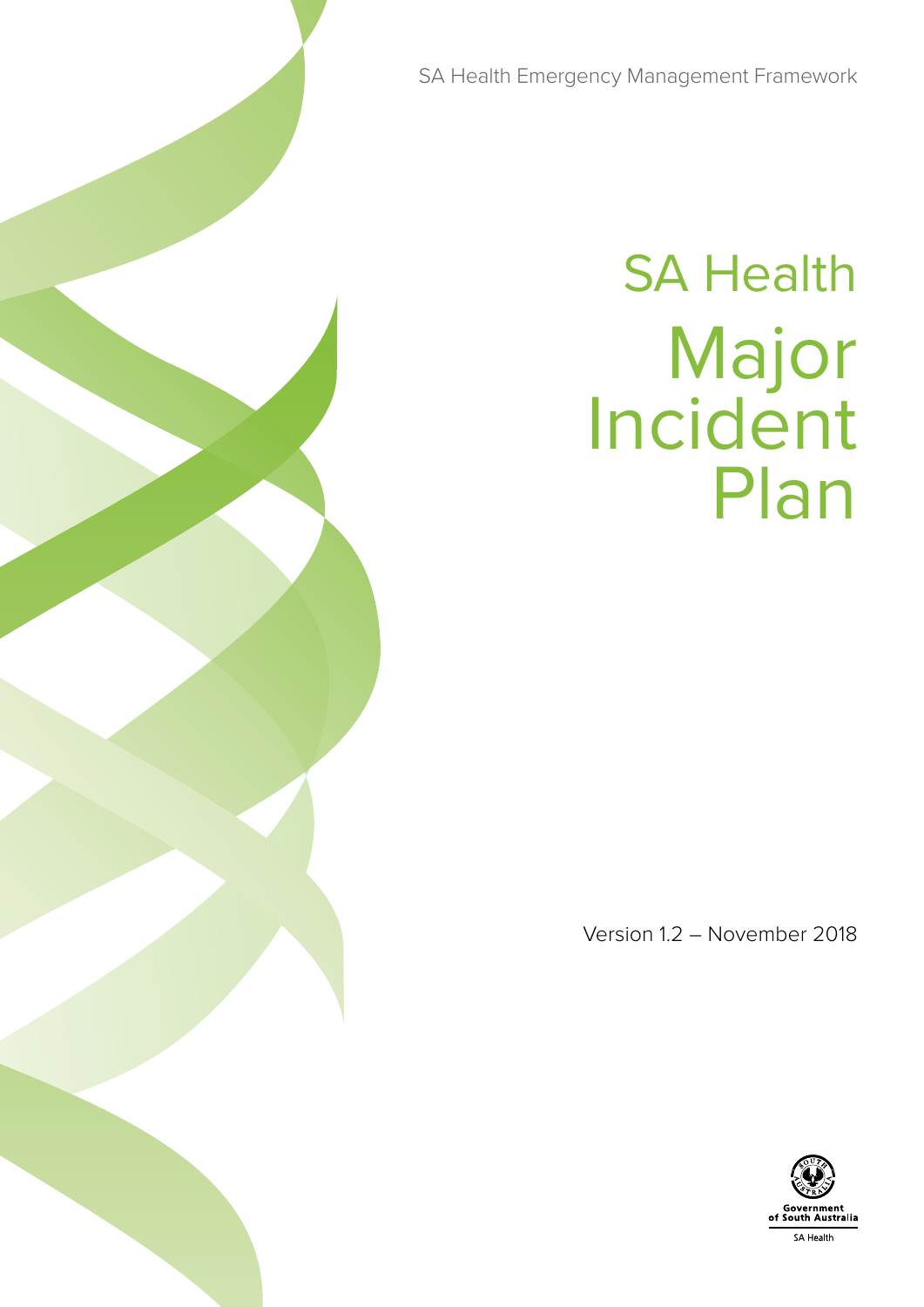SA Health Emergency Management Framework

# SA Health Major Incident Plan

Version 1.2 – November 2018

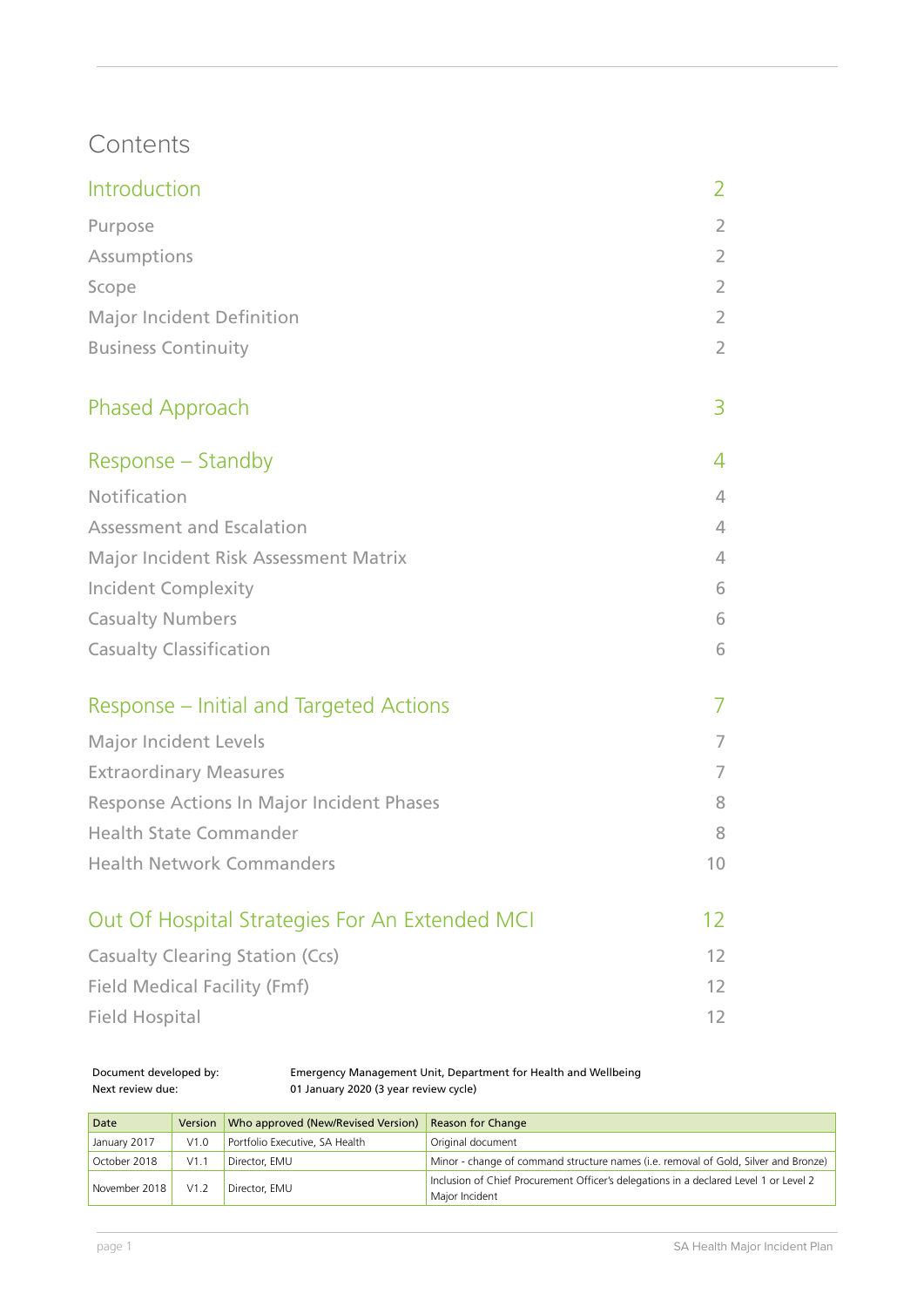## **Contents**

| Introduction                                   | 2               |
|------------------------------------------------|-----------------|
| Purpose                                        | $\overline{2}$  |
| Assumptions                                    | $\overline{2}$  |
| Scope                                          | $\overline{2}$  |
| <b>Major Incident Definition</b>               | $\overline{2}$  |
| <b>Business Continuity</b>                     | $\overline{2}$  |
| Phased Approach                                | 3               |
| Response – Standby                             | 4               |
| Notification                                   | $\overline{4}$  |
| <b>Assessment and Escalation</b>               | 4               |
| Major Incident Risk Assessment Matrix          | $\overline{4}$  |
| <b>Incident Complexity</b>                     | 6               |
| <b>Casualty Numbers</b>                        | 6               |
| <b>Casualty Classification</b>                 | 6               |
| Response – Initial and Targeted Actions        | 7               |
| <b>Major Incident Levels</b>                   | 7               |
| <b>Extraordinary Measures</b>                  | 7               |
| Response Actions In Major Incident Phases      | 8               |
| <b>Health State Commander</b>                  | 8               |
| <b>Health Network Commanders</b>               | 10 <sup>°</sup> |
| Out Of Hospital Strategies For An Extended MCI | 12 <sup>°</sup> |
| <b>Casualty Clearing Station (Ccs)</b>         | 12 <sup>2</sup> |
| <b>Field Medical Facility (Fmf)</b>            | 12              |
| <b>Field Hospital</b>                          | 12              |

Document developed by: Emergency Management Unit, Department for Health and Wellbeing Next review due: 01 January 2020 (3 year review cycle)

| Date          |      | Version   Who approved (New/Revised Version) | <b>Reason for Change</b>                                                                                |
|---------------|------|----------------------------------------------|---------------------------------------------------------------------------------------------------------|
| January 2017  | V1.0 | Portfolio Executive, SA Health               | Original document                                                                                       |
| October 2018  | V1.1 | Director, EMU                                | Minor - change of command structure names (i.e. removal of Gold, Silver and Bronze)                     |
| November 2018 | V1.2 | Director, EMU                                | Inclusion of Chief Procurement Officer's delegations in a declared Level 1 or Level 2<br>Maior Incident |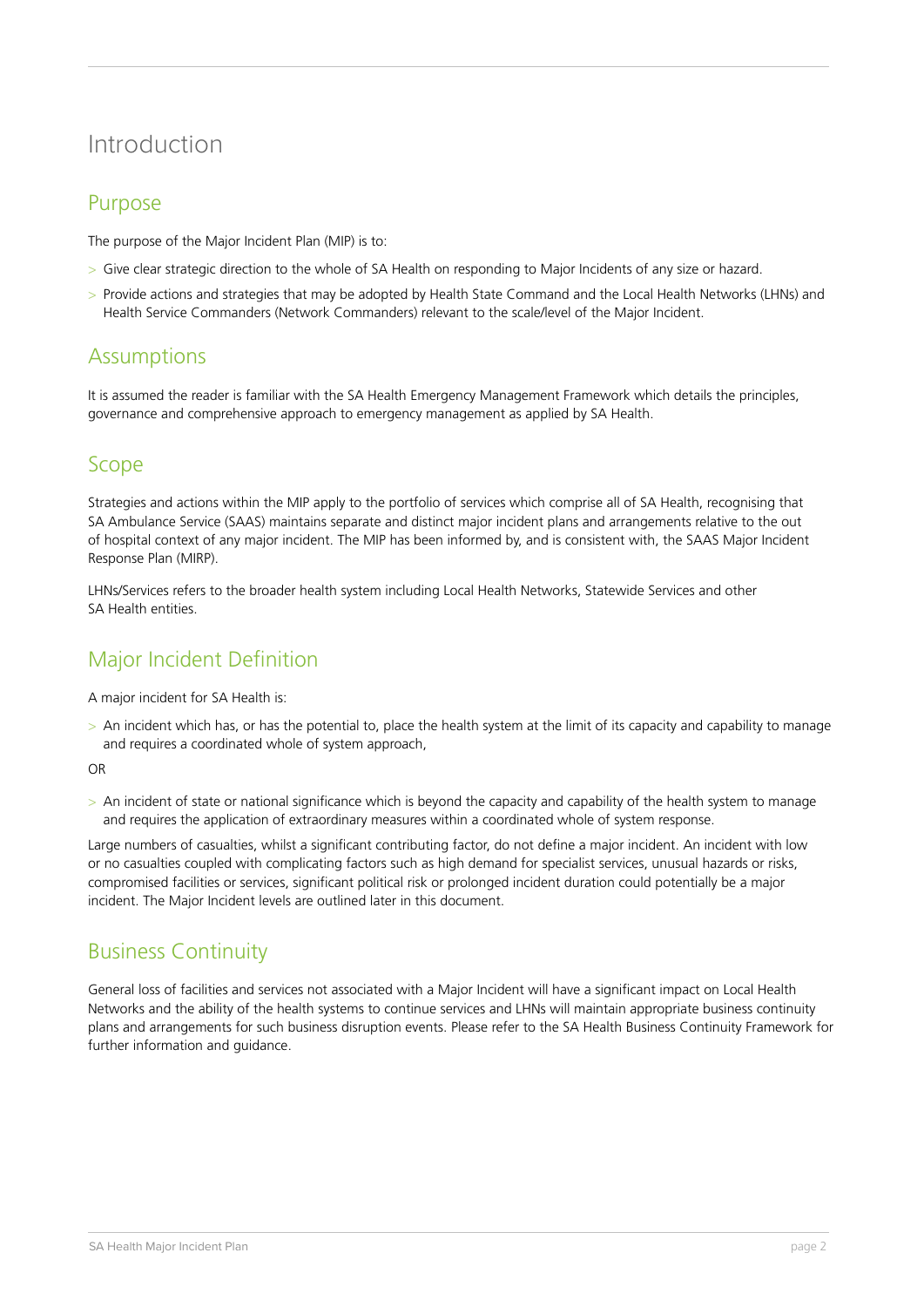## Introduction

#### Purpose

The purpose of the Major Incident Plan (MIP) is to:

- > Give clear strategic direction to the whole of SA Health on responding to Major Incidents of any size or hazard.
- > Provide actions and strategies that may be adopted by Health State Command and the Local Health Networks (LHNs) and Health Service Commanders (Network Commanders) relevant to the scale/level of the Major Incident.

#### **Assumptions**

It is assumed the reader is familiar with the SA Health Emergency Management Framework which details the principles, governance and comprehensive approach to emergency management as applied by SA Health.

#### Scope

Strategies and actions within the MIP apply to the portfolio of services which comprise all of SA Health, recognising that SA Ambulance Service (SAAS) maintains separate and distinct major incident plans and arrangements relative to the out of hospital context of any major incident. The MIP has been informed by, and is consistent with, the SAAS Major Incident Response Plan (MIRP).

LHNs/Services refers to the broader health system including Local Health Networks, Statewide Services and other SA Health entities.

## Major Incident Definition

A major incident for SA Health is:

> An incident which has, or has the potential to, place the health system at the limit of its capacity and capability to manage and requires a coordinated whole of system approach,

OR

> An incident of state or national significance which is beyond the capacity and capability of the health system to manage and requires the application of extraordinary measures within a coordinated whole of system response.

Large numbers of casualties, whilst a significant contributing factor, do not define a major incident. An incident with low or no casualties coupled with complicating factors such as high demand for specialist services, unusual hazards or risks, compromised facilities or services, significant political risk or prolonged incident duration could potentially be a major incident. The Major Incident levels are outlined later in this document.

## Business Continuity

General loss of facilities and services not associated with a Major Incident will have a significant impact on Local Health Networks and the ability of the health systems to continue services and LHNs will maintain appropriate business continuity plans and arrangements for such business disruption events. Please refer to the SA Health Business Continuity Framework for further information and guidance.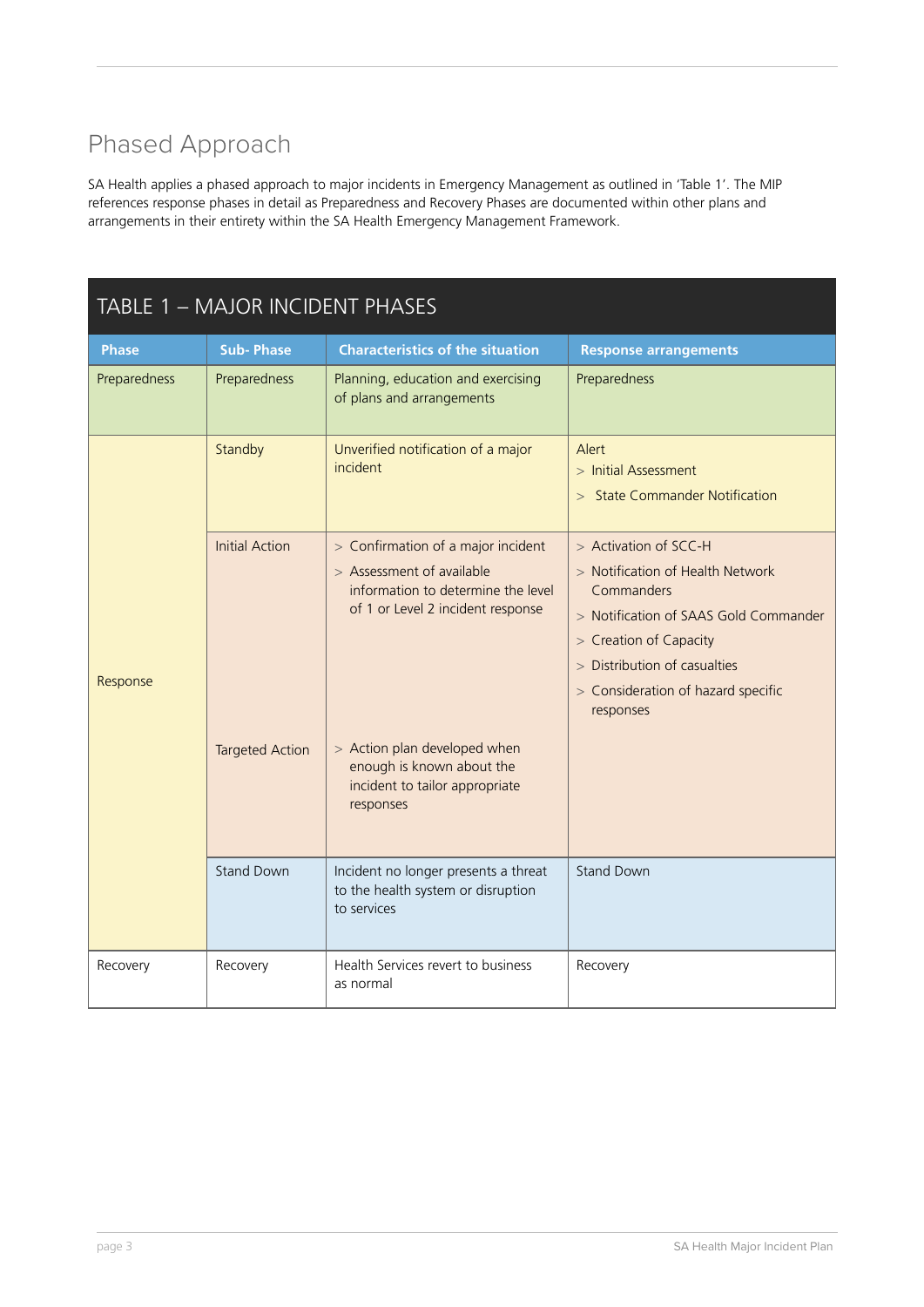## Phased Approach

SA Health applies a phased approach to major incidents in Emergency Management as outlined in 'Table 1'. The MIP references response phases in detail as Preparedness and Recovery Phases are documented within other plans and arrangements in their entirety within the SA Health Emergency Management Framework.

| TABLE 1 - MAJOR INCIDENT PHASES |                                                 |                                                                                                                                                                            |                                                                                                                                                                                                                               |
|---------------------------------|-------------------------------------------------|----------------------------------------------------------------------------------------------------------------------------------------------------------------------------|-------------------------------------------------------------------------------------------------------------------------------------------------------------------------------------------------------------------------------|
| <b>Phase</b>                    | <b>Sub-Phase</b>                                | <b>Characteristics of the situation</b>                                                                                                                                    | <b>Response arrangements</b>                                                                                                                                                                                                  |
| Preparedness                    | Preparedness                                    | Planning, education and exercising<br>of plans and arrangements                                                                                                            | Preparedness                                                                                                                                                                                                                  |
|                                 | Standby                                         | Unverified notification of a major<br>incident                                                                                                                             | Alert<br>$>$ Initial Assessment<br><b>State Commander Notification</b><br>$\geq$                                                                                                                                              |
| Response                        | <b>Initial Action</b><br><b>Targeted Action</b> | > Confirmation of a major incident<br>> Assessment of available<br>information to determine the level<br>of 1 or Level 2 incident response<br>> Action plan developed when | > Activation of SCC-H<br>> Notification of Health Network<br>Commanders<br>> Notification of SAAS Gold Commander<br>> Creation of Capacity<br>> Distribution of casualties<br>> Consideration of hazard specific<br>responses |
|                                 |                                                 | enough is known about the<br>incident to tailor appropriate<br>responses                                                                                                   |                                                                                                                                                                                                                               |
|                                 | <b>Stand Down</b>                               | Incident no longer presents a threat<br>to the health system or disruption<br>to services                                                                                  | <b>Stand Down</b>                                                                                                                                                                                                             |
| Recovery                        | Recovery                                        | Health Services revert to business<br>as normal                                                                                                                            | Recovery                                                                                                                                                                                                                      |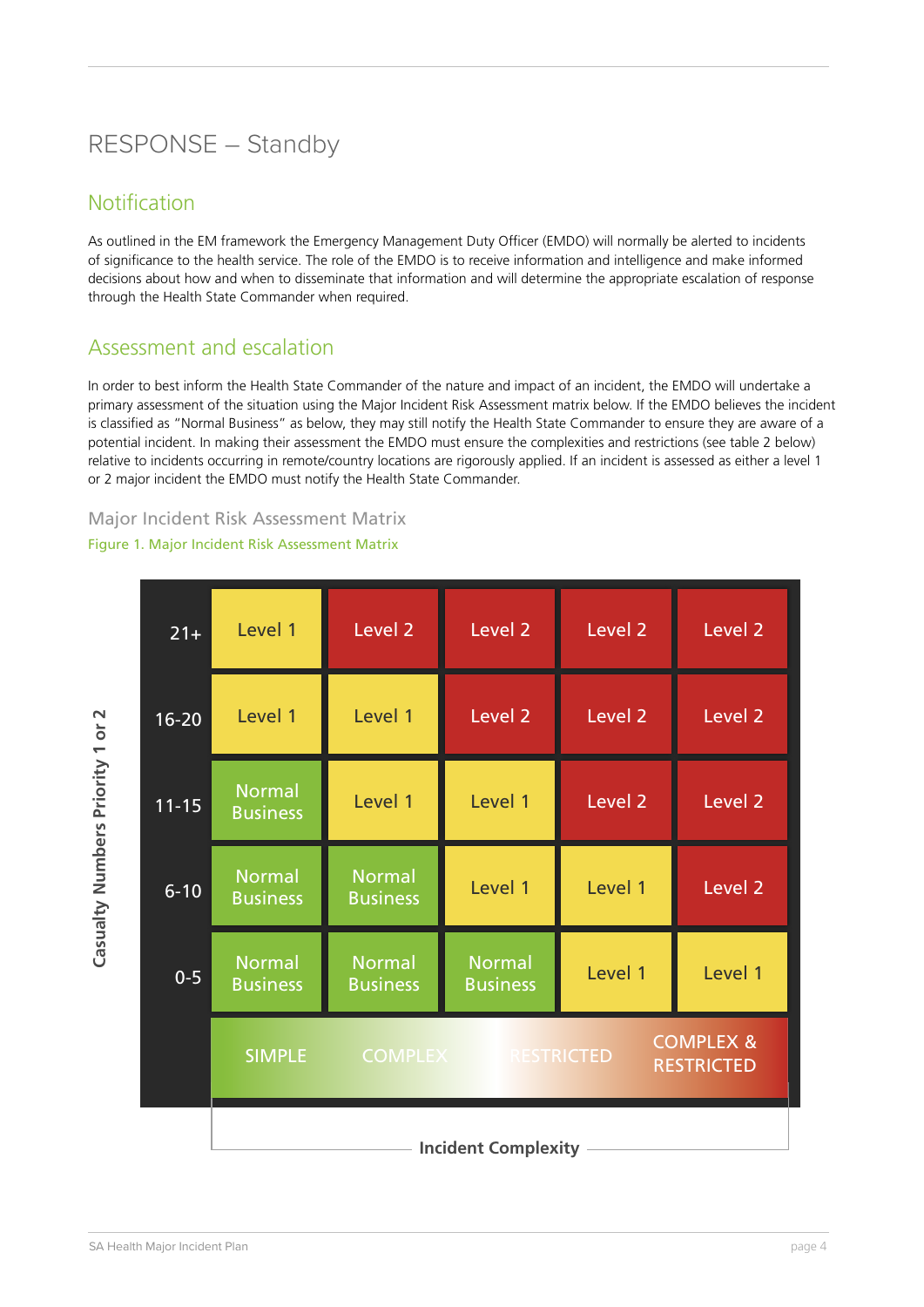## RESPONSE – Standby

#### Notification

As outlined in the EM framework the Emergency Management Duty Officer (EMDO) will normally be alerted to incidents of significance to the health service. The role of the EMDO is to receive information and intelligence and make informed decisions about how and when to disseminate that information and will determine the appropriate escalation of response through the Health State Commander when required.

#### Assessment and escalation

In order to best inform the Health State Commander of the nature and impact of an incident, the EMDO will undertake a primary assessment of the situation using the Major Incident Risk Assessment matrix below. If the EMDO believes the incident is classified as "Normal Business" as below, they may still notify the Health State Commander to ensure they are aware of a potential incident. In making their assessment the EMDO must ensure the complexities and restrictions (see table 2 below) relative to incidents occurring in remote/country locations are rigorously applied. If an incident is assessed as either a level 1 or 2 major incident the EMDO must notify the Health State Commander.

#### Major Incident Risk Assessment Matrix

#### Figure 1. Major Incident Risk Assessment Matrix

| $21+$     | Level 1                          | Level <sub>2</sub>               | Level <sub>2</sub>               | Level <sub>2</sub> | Level <sub>2</sub>                        |
|-----------|----------------------------------|----------------------------------|----------------------------------|--------------------|-------------------------------------------|
| $16-20$   | Level 1                          | Level 1                          | Level <sub>2</sub>               | Level 2            | Level <sub>2</sub>                        |
| $11 - 15$ | <b>Normal</b><br><b>Business</b> | Level 1                          | Level 1                          | Level <sub>2</sub> | Level <sub>2</sub>                        |
| $6 - 10$  | <b>Normal</b><br><b>Business</b> | <b>Normal</b><br><b>Business</b> | Level 1                          | Level 1            | Level <sub>2</sub>                        |
| $0 - 5$   | <b>Normal</b><br><b>Business</b> | <b>Normal</b><br><b>Business</b> | <b>Normal</b><br><b>Business</b> | Level 1            | Level 1                                   |
|           | <b>SIMPLE</b>                    | <b>COMPLEX</b>                   |                                  | <b>RESTRICTED</b>  | <b>COMPLEX &amp;</b><br><b>RESTRICTED</b> |
|           |                                  |                                  | <b>Incident Complexity</b>       |                    |                                           |

**Casualty Numbers Priority 1 or 2**

Casualty Numbers Priority 1 or 2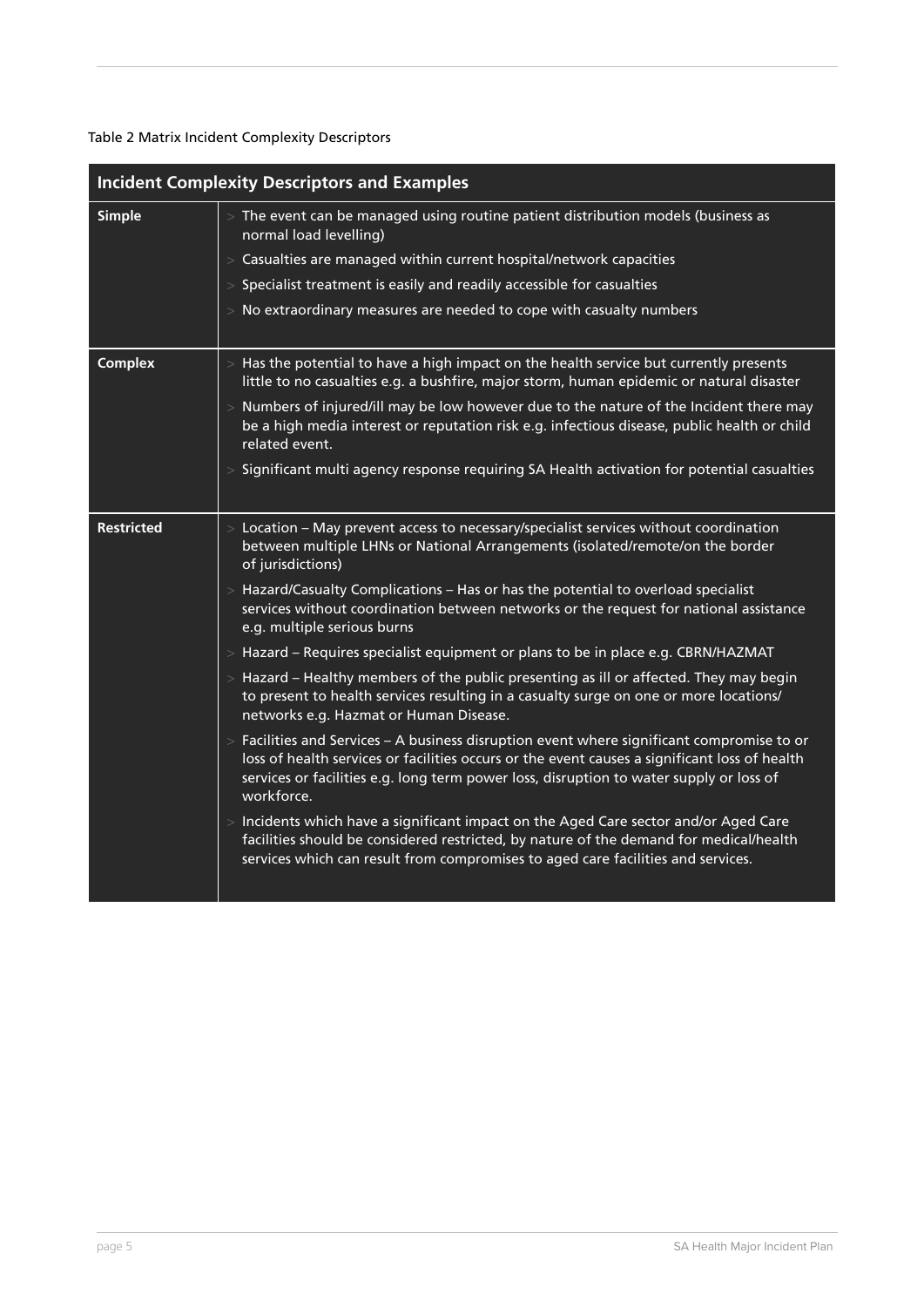#### Table 2 Matrix Incident Complexity Descriptors

|                   | <b>Incident Complexity Descriptors and Examples</b>                                                                                                                                                                                                                                                    |
|-------------------|--------------------------------------------------------------------------------------------------------------------------------------------------------------------------------------------------------------------------------------------------------------------------------------------------------|
| <b>Simple</b>     | $>$ The event can be managed using routine patient distribution models (business as<br>normal load levelling)                                                                                                                                                                                          |
|                   | $>$ Casualties are managed within current hospital/network capacities                                                                                                                                                                                                                                  |
|                   | $>$ Specialist treatment is easily and readily accessible for casualties                                                                                                                                                                                                                               |
|                   | $>$ No extraordinary measures are needed to cope with casualty numbers                                                                                                                                                                                                                                 |
| <b>Complex</b>    | $>$ Has the potential to have a high impact on the health service but currently presents<br>little to no casualties e.g. a bushfire, major storm, human epidemic or natural disaster                                                                                                                   |
|                   | > Numbers of injured/ill may be low however due to the nature of the Incident there may<br>be a high media interest or reputation risk e.g. infectious disease, public health or child<br>related event.                                                                                               |
|                   | $>$ Significant multi agency response requiring SA Health activation for potential casualties                                                                                                                                                                                                          |
| <b>Restricted</b> | $>$ Location – May prevent access to necessary/specialist services without coordination<br>between multiple LHNs or National Arrangements (isolated/remote/on the border<br>of jurisdictions)                                                                                                          |
|                   | $>$ Hazard/Casualty Complications – Has or has the potential to overload specialist<br>services without coordination between networks or the request for national assistance<br>e.g. multiple serious burns                                                                                            |
|                   | > Hazard - Requires specialist equipment or plans to be in place e.g. CBRN/HAZMAT                                                                                                                                                                                                                      |
|                   | > Hazard – Healthy members of the public presenting as ill or affected. They may begin<br>to present to health services resulting in a casualty surge on one or more locations/<br>networks e.g. Hazmat or Human Disease.                                                                              |
|                   | $>$ Facilities and Services – A business disruption event where significant compromise to or<br>loss of health services or facilities occurs or the event causes a significant loss of health<br>services or facilities e.g. long term power loss, disruption to water supply or loss of<br>workforce. |
|                   | > Incidents which have a significant impact on the Aged Care sector and/or Aged Care<br>facilities should be considered restricted, by nature of the demand for medical/health<br>services which can result from compromises to aged care facilities and services.                                     |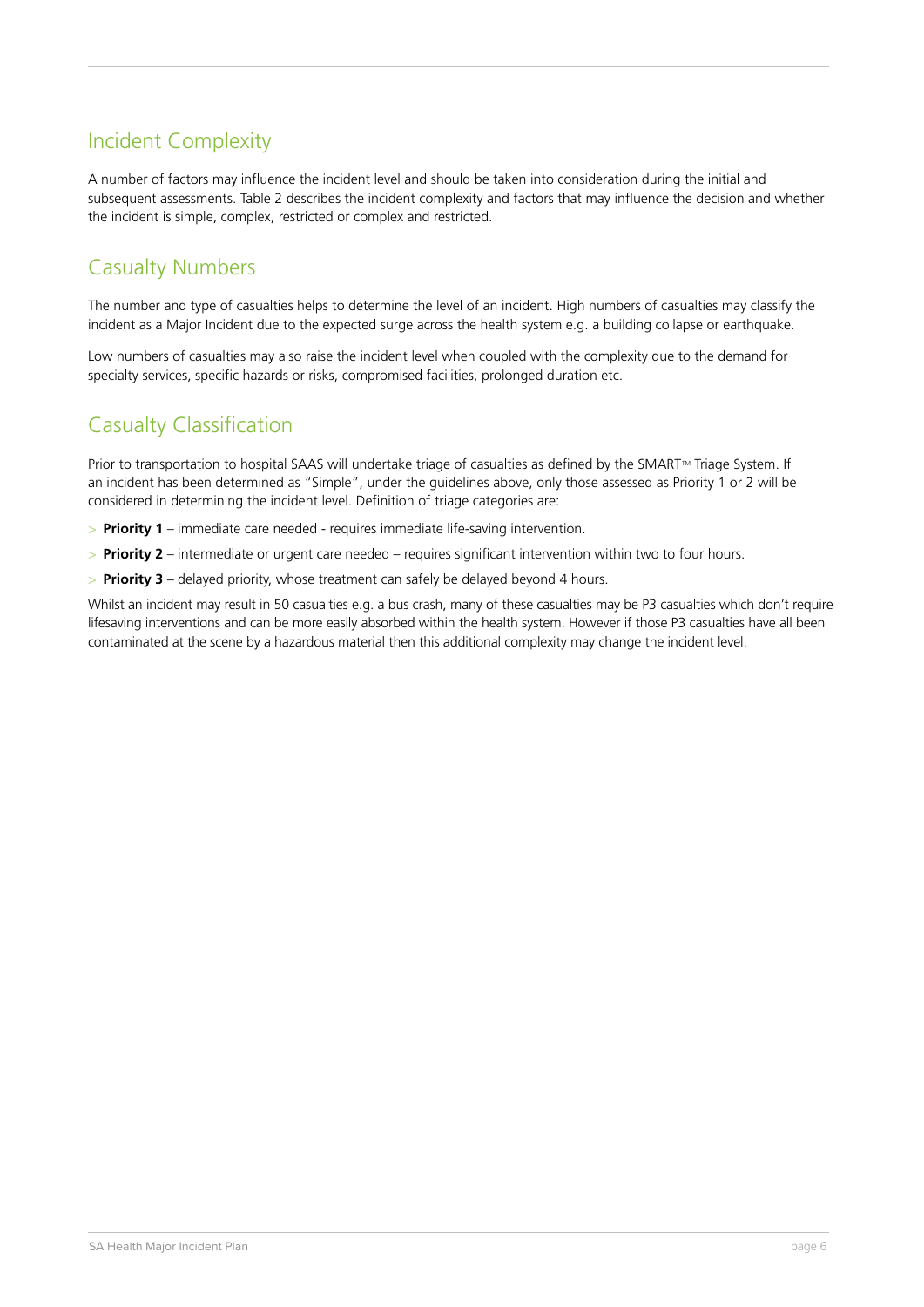## Incident Complexity

A number of factors may influence the incident level and should be taken into consideration during the initial and subsequent assessments. Table 2 describes the incident complexity and factors that may influence the decision and whether the incident is simple, complex, restricted or complex and restricted.

#### Casualty Numbers

The number and type of casualties helps to determine the level of an incident. High numbers of casualties may classify the incident as a Major Incident due to the expected surge across the health system e.g. a building collapse or earthquake.

Low numbers of casualties may also raise the incident level when coupled with the complexity due to the demand for specialty services, specific hazards or risks, compromised facilities, prolonged duration etc.

#### Casualty Classification

Prior to transportation to hospital SAAS will undertake triage of casualties as defined by the SMART™ Triage System. If an incident has been determined as "Simple", under the guidelines above, only those assessed as Priority 1 or 2 will be considered in determining the incident level. Definition of triage categories are:

- > **Priority 1** immediate care needed requires immediate life-saving intervention.
- > **Priority 2** intermediate or urgent care needed requires significant intervention within two to four hours.
- > **Priority 3** delayed priority, whose treatment can safely be delayed beyond 4 hours.

Whilst an incident may result in 50 casualties e.g. a bus crash, many of these casualties may be P3 casualties which don't require lifesaving interventions and can be more easily absorbed within the health system. However if those P3 casualties have all been contaminated at the scene by a hazardous material then this additional complexity may change the incident level.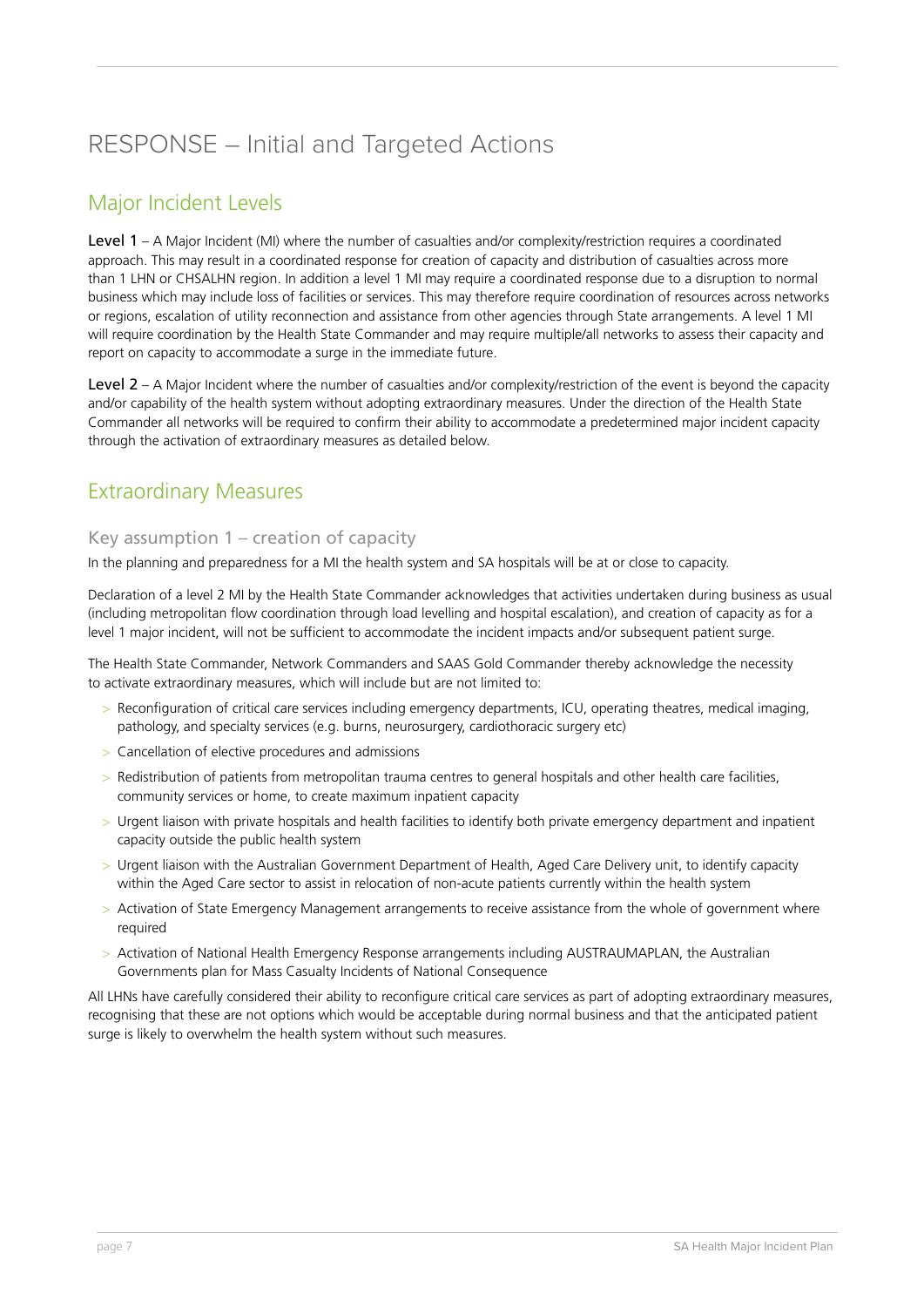## RESPONSE – Initial and Targeted Actions

#### Major Incident Levels

Level 1 – A Major Incident (MI) where the number of casualties and/or complexity/restriction requires a coordinated approach. This may result in a coordinated response for creation of capacity and distribution of casualties across more than 1 LHN or CHSALHN region. In addition a level 1 MI may require a coordinated response due to a disruption to normal business which may include loss of facilities or services. This may therefore require coordination of resources across networks or regions, escalation of utility reconnection and assistance from other agencies through State arrangements. A level 1 MI will require coordination by the Health State Commander and may require multiple/all networks to assess their capacity and report on capacity to accommodate a surge in the immediate future.

Level 2 – A Major Incident where the number of casualties and/or complexity/restriction of the event is beyond the capacity and/or capability of the health system without adopting extraordinary measures. Under the direction of the Health State Commander all networks will be required to confirm their ability to accommodate a predetermined major incident capacity through the activation of extraordinary measures as detailed below.

#### Extraordinary Measures

#### Key assumption 1 – creation of capacity

In the planning and preparedness for a MI the health system and SA hospitals will be at or close to capacity.

Declaration of a level 2 MI by the Health State Commander acknowledges that activities undertaken during business as usual (including metropolitan flow coordination through load levelling and hospital escalation), and creation of capacity as for a level 1 major incident, will not be sufficient to accommodate the incident impacts and/or subsequent patient surge.

The Health State Commander, Network Commanders and SAAS Gold Commander thereby acknowledge the necessity to activate extraordinary measures, which will include but are not limited to:

- > Reconfiguration of critical care services including emergency departments, ICU, operating theatres, medical imaging, pathology, and specialty services (e.g. burns, neurosurgery, cardiothoracic surgery etc)
- > Cancellation of elective procedures and admissions
- > Redistribution of patients from metropolitan trauma centres to general hospitals and other health care facilities, community services or home, to create maximum inpatient capacity
- > Urgent liaison with private hospitals and health facilities to identify both private emergency department and inpatient capacity outside the public health system
- > Urgent liaison with the Australian Government Department of Health, Aged Care Delivery unit, to identify capacity within the Aged Care sector to assist in relocation of non-acute patients currently within the health system
- > Activation of State Emergency Management arrangements to receive assistance from the whole of government where required
- > Activation of National Health Emergency Response arrangements including AUSTRAUMAPLAN, the Australian Governments plan for Mass Casualty Incidents of National Consequence

All LHNs have carefully considered their ability to reconfigure critical care services as part of adopting extraordinary measures, recognising that these are not options which would be acceptable during normal business and that the anticipated patient surge is likely to overwhelm the health system without such measures.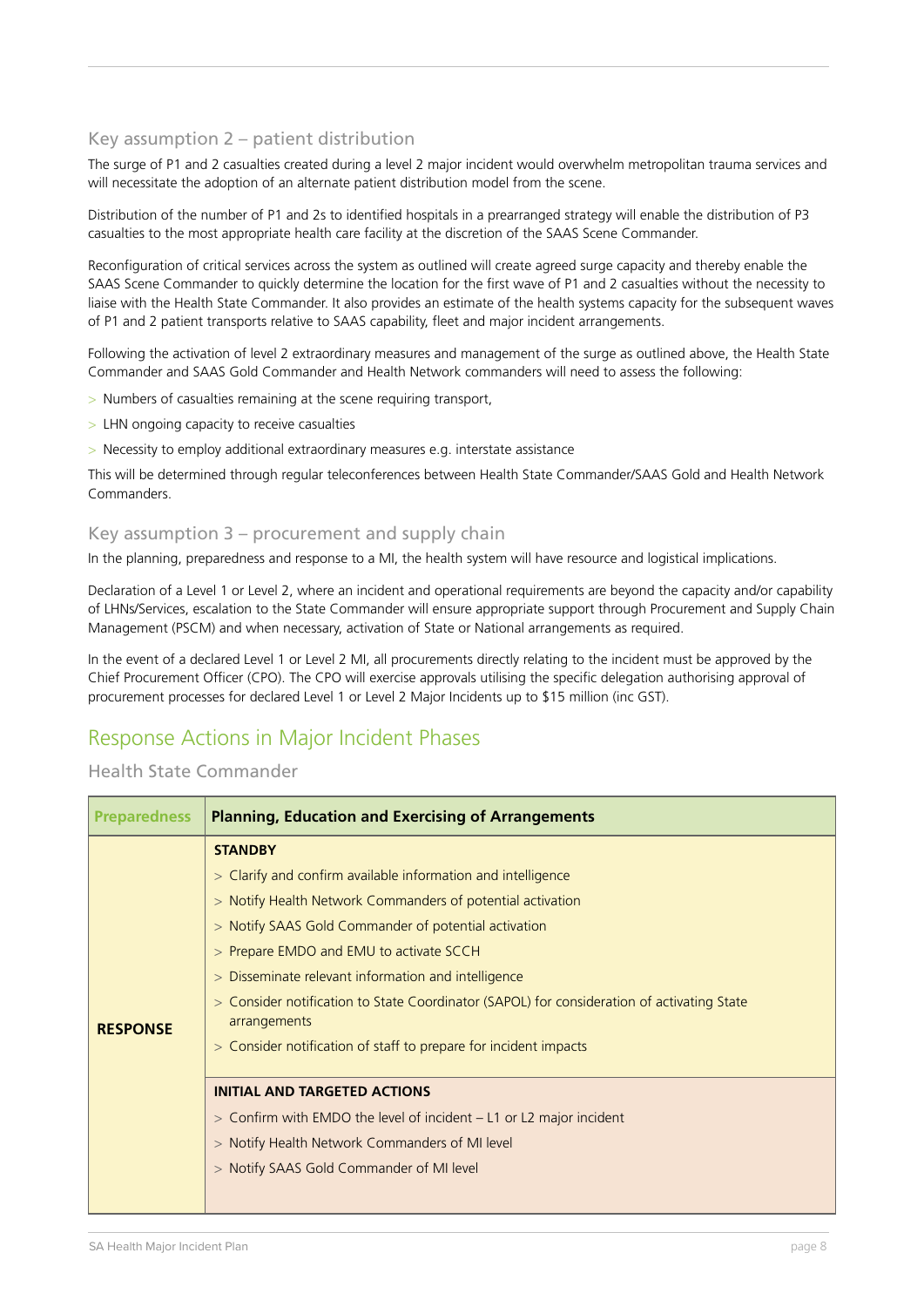#### Key assumption 2 – patient distribution

The surge of P1 and 2 casualties created during a level 2 major incident would overwhelm metropolitan trauma services and will necessitate the adoption of an alternate patient distribution model from the scene.

Distribution of the number of P1 and 2s to identified hospitals in a prearranged strategy will enable the distribution of P3 casualties to the most appropriate health care facility at the discretion of the SAAS Scene Commander.

Reconfiguration of critical services across the system as outlined will create agreed surge capacity and thereby enable the SAAS Scene Commander to quickly determine the location for the first wave of P1 and 2 casualties without the necessity to liaise with the Health State Commander. It also provides an estimate of the health systems capacity for the subsequent waves of P1 and 2 patient transports relative to SAAS capability, fleet and major incident arrangements.

Following the activation of level 2 extraordinary measures and management of the surge as outlined above, the Health State Commander and SAAS Gold Commander and Health Network commanders will need to assess the following:

- > Numbers of casualties remaining at the scene requiring transport,
- > LHN ongoing capacity to receive casualties
- > Necessity to employ additional extraordinary measures e.g. interstate assistance

This will be determined through regular teleconferences between Health State Commander/SAAS Gold and Health Network Commanders.

#### Key assumption 3 – procurement and supply chain

In the planning, preparedness and response to a MI, the health system will have resource and logistical implications.

Declaration of a Level 1 or Level 2, where an incident and operational requirements are beyond the capacity and/or capability of LHNs/Services, escalation to the State Commander will ensure appropriate support through Procurement and Supply Chain Management (PSCM) and when necessary, activation of State or National arrangements as required.

In the event of a declared Level 1 or Level 2 MI, all procurements directly relating to the incident must be approved by the Chief Procurement Officer (CPO). The CPO will exercise approvals utilising the specific delegation authorising approval of procurement processes for declared Level 1 or Level 2 Major Incidents up to \$15 million (inc GST).

#### Response Actions in Major Incident Phases

#### Health State Commander

| <b>Preparedness</b> | <b>Planning, Education and Exercising of Arrangements</b>                                                                                                                                                                                                                                                                                                                                                                                                                                                                                                                                                  |
|---------------------|------------------------------------------------------------------------------------------------------------------------------------------------------------------------------------------------------------------------------------------------------------------------------------------------------------------------------------------------------------------------------------------------------------------------------------------------------------------------------------------------------------------------------------------------------------------------------------------------------------|
| <b>RESPONSE</b>     | <b>STANDBY</b><br>> Clarify and confirm available information and intelligence<br>> Notify Health Network Commanders of potential activation<br>> Notify SAAS Gold Commander of potential activation<br>> Prepare EMDO and EMU to activate SCCH<br>> Disseminate relevant information and intelligence<br>> Consider notification to State Coordinator (SAPOL) for consideration of activating State<br>arrangements<br>> Consider notification of staff to prepare for incident impacts<br><b>INITIAL AND TARGETED ACTIONS</b><br>$>$ Confirm with EMDO the level of incident $-$ L1 or L2 major incident |
|                     | > Notify Health Network Commanders of MI level<br>> Notify SAAS Gold Commander of MI level                                                                                                                                                                                                                                                                                                                                                                                                                                                                                                                 |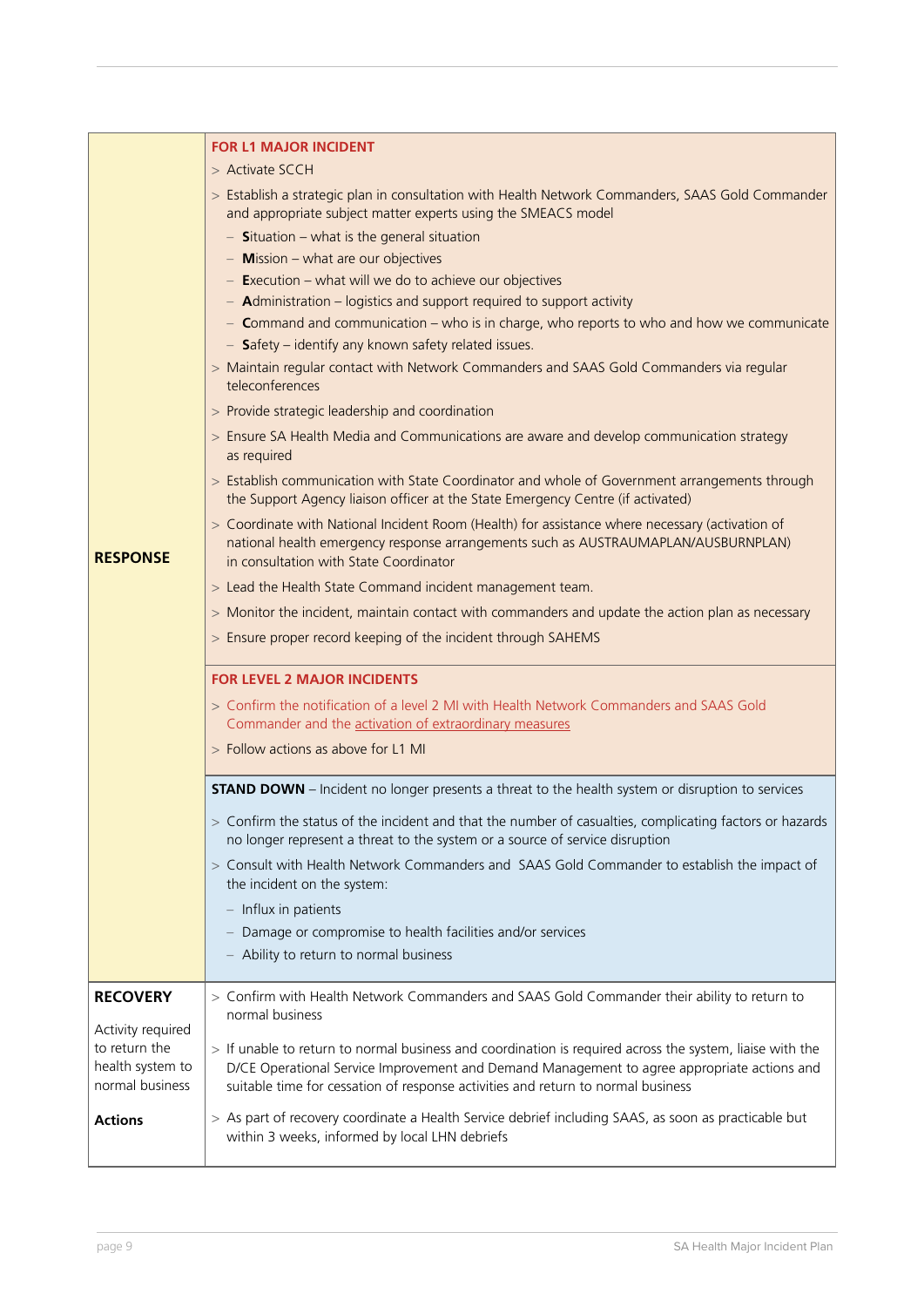|                                     | <b>FOR L1 MAJOR INCIDENT</b>                                                                                                                                                                                                    |
|-------------------------------------|---------------------------------------------------------------------------------------------------------------------------------------------------------------------------------------------------------------------------------|
|                                     | > Activate SCCH                                                                                                                                                                                                                 |
|                                     | > Establish a strategic plan in consultation with Health Network Commanders, SAAS Gold Commander<br>and appropriate subject matter experts using the SMEACS model                                                               |
|                                     | $-$ Situation – what is the general situation                                                                                                                                                                                   |
|                                     | $-$ Mission $-$ what are our objectives                                                                                                                                                                                         |
|                                     | $-$ Execution – what will we do to achieve our objectives                                                                                                                                                                       |
|                                     | $-$ Administration – logistics and support required to support activity                                                                                                                                                         |
|                                     | - Command and communication - who is in charge, who reports to who and how we communicate<br>$-$ Safety – identify any known safety related issues.                                                                             |
|                                     | > Maintain regular contact with Network Commanders and SAAS Gold Commanders via regular<br>teleconferences                                                                                                                      |
|                                     | > Provide strategic leadership and coordination                                                                                                                                                                                 |
|                                     | > Ensure SA Health Media and Communications are aware and develop communication strategy<br>as required                                                                                                                         |
|                                     | > Establish communication with State Coordinator and whole of Government arrangements through<br>the Support Agency liaison officer at the State Emergency Centre (if activated)                                                |
| <b>RESPONSE</b>                     | > Coordinate with National Incident Room (Health) for assistance where necessary (activation of<br>national health emergency response arrangements such as AUSTRAUMAPLAN/AUSBURNPLAN)<br>in consultation with State Coordinator |
|                                     | > Lead the Health State Command incident management team.                                                                                                                                                                       |
|                                     | > Monitor the incident, maintain contact with commanders and update the action plan as necessary                                                                                                                                |
|                                     | > Ensure proper record keeping of the incident through SAHEMS                                                                                                                                                                   |
|                                     | <b>FOR LEVEL 2 MAJOR INCIDENTS</b>                                                                                                                                                                                              |
|                                     | > Confirm the notification of a level 2 MI with Health Network Commanders and SAAS Gold<br>Commander and the activation of extraordinary measures                                                                               |
|                                     | > Follow actions as above for L1 MI                                                                                                                                                                                             |
|                                     | <b>STAND DOWN</b> - Incident no longer presents a threat to the health system or disruption to services                                                                                                                         |
|                                     | > Confirm the status of the incident and that the number of casualties, complicating factors or hazards<br>no longer represent a threat to the system or a source of service disruption                                         |
|                                     | > Consult with Health Network Commanders and SAAS Gold Commander to establish the impact of<br>the incident on the system:                                                                                                      |
|                                     | $-$ Influx in patients                                                                                                                                                                                                          |
|                                     | Damage or compromise to health facilities and/or services                                                                                                                                                                       |
|                                     | - Ability to return to normal business                                                                                                                                                                                          |
| <b>RECOVERY</b>                     | > Confirm with Health Network Commanders and SAAS Gold Commander their ability to return to                                                                                                                                     |
|                                     | normal business                                                                                                                                                                                                                 |
| Activity required<br>to return the  | > If unable to return to normal business and coordination is required across the system, liaise with the                                                                                                                        |
| health system to<br>normal business | D/CE Operational Service Improvement and Demand Management to agree appropriate actions and<br>suitable time for cessation of response activities and return to normal business                                                 |
| <b>Actions</b>                      | > As part of recovery coordinate a Health Service debrief including SAAS, as soon as practicable but<br>within 3 weeks, informed by local LHN debriefs                                                                          |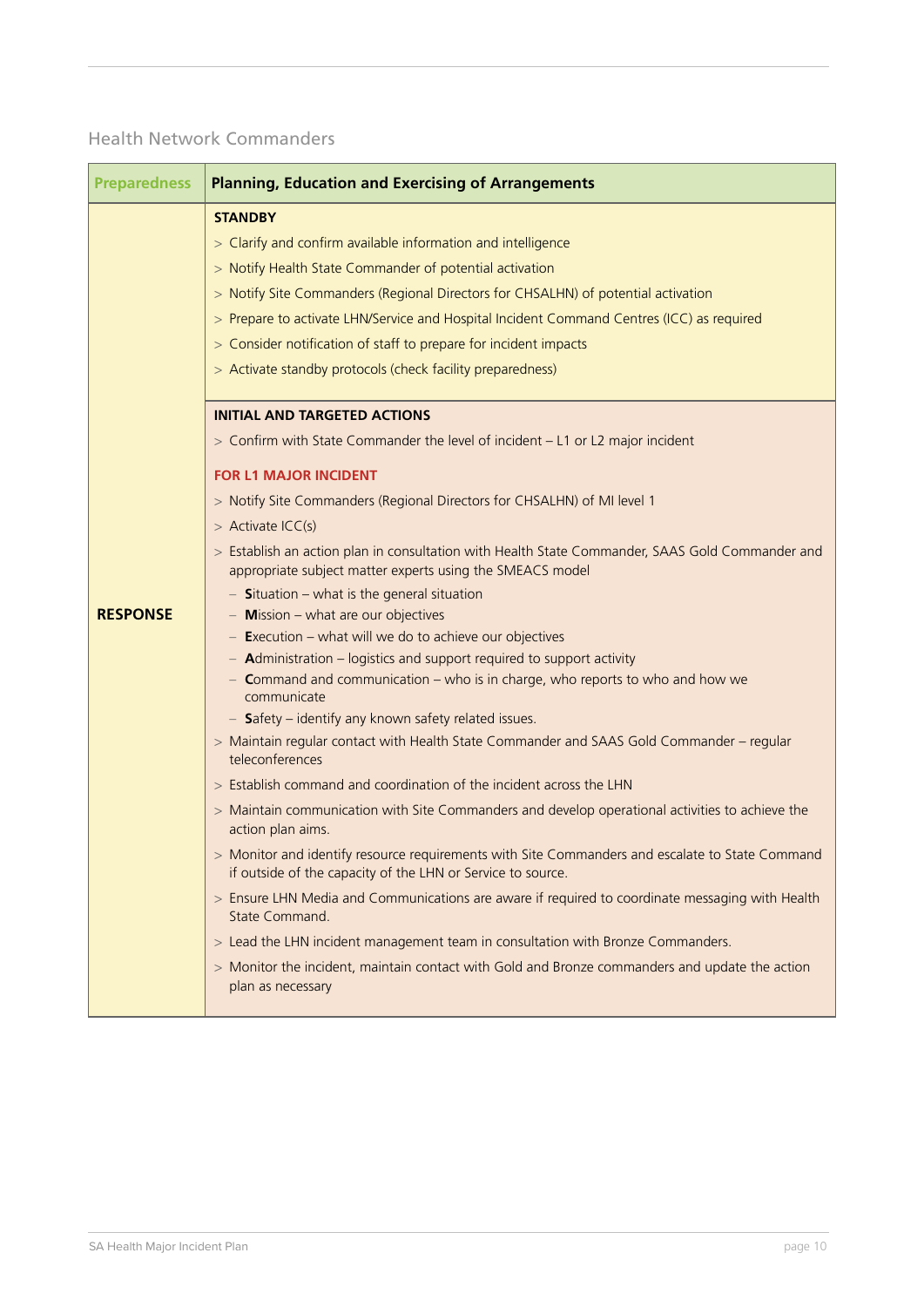#### Health Network Commanders

| <b>Preparedness</b> | <b>Planning, Education and Exercising of Arrangements</b>                                                                                                                                                                                                                                                                                                                                                                                                     |
|---------------------|---------------------------------------------------------------------------------------------------------------------------------------------------------------------------------------------------------------------------------------------------------------------------------------------------------------------------------------------------------------------------------------------------------------------------------------------------------------|
|                     | <b>STANDBY</b><br>> Clarify and confirm available information and intelligence<br>> Notify Health State Commander of potential activation<br>> Notify Site Commanders (Regional Directors for CHSALHN) of potential activation<br>> Prepare to activate LHN/Service and Hospital Incident Command Centres (ICC) as required<br>> Consider notification of staff to prepare for incident impacts<br>> Activate standby protocols (check facility preparedness) |
|                     | <b>INITIAL AND TARGETED ACTIONS</b>                                                                                                                                                                                                                                                                                                                                                                                                                           |
|                     | > Confirm with State Commander the level of incident - L1 or L2 major incident                                                                                                                                                                                                                                                                                                                                                                                |
|                     | <b>FOR L1 MAJOR INCIDENT</b>                                                                                                                                                                                                                                                                                                                                                                                                                                  |
|                     | > Notify Site Commanders (Regional Directors for CHSALHN) of MI level 1                                                                                                                                                                                                                                                                                                                                                                                       |
|                     | $>$ Activate ICC(s)                                                                                                                                                                                                                                                                                                                                                                                                                                           |
|                     | > Establish an action plan in consultation with Health State Commander, SAAS Gold Commander and<br>appropriate subject matter experts using the SMEACS model                                                                                                                                                                                                                                                                                                  |
|                     | $-$ Situation – what is the general situation                                                                                                                                                                                                                                                                                                                                                                                                                 |
| <b>RESPONSE</b>     | $-$ Mission $-$ what are our objectives                                                                                                                                                                                                                                                                                                                                                                                                                       |
|                     | $-$ Execution – what will we do to achieve our objectives<br>$-$ Administration – logistics and support required to support activity                                                                                                                                                                                                                                                                                                                          |
|                     | - Command and communication $-$ who is in charge, who reports to who and how we<br>communicate                                                                                                                                                                                                                                                                                                                                                                |
|                     | $-$ Safety – identify any known safety related issues.                                                                                                                                                                                                                                                                                                                                                                                                        |
|                     | > Maintain regular contact with Health State Commander and SAAS Gold Commander - regular<br>teleconferences                                                                                                                                                                                                                                                                                                                                                   |
|                     | > Establish command and coordination of the incident across the LHN                                                                                                                                                                                                                                                                                                                                                                                           |
|                     | > Maintain communication with Site Commanders and develop operational activities to achieve the<br>action plan aims.                                                                                                                                                                                                                                                                                                                                          |
|                     | > Monitor and identify resource requirements with Site Commanders and escalate to State Command<br>if outside of the capacity of the LHN or Service to source.                                                                                                                                                                                                                                                                                                |
|                     | > Ensure LHN Media and Communications are aware if required to coordinate messaging with Health<br>State Command.                                                                                                                                                                                                                                                                                                                                             |
|                     | > Lead the LHN incident management team in consultation with Bronze Commanders.                                                                                                                                                                                                                                                                                                                                                                               |
|                     | > Monitor the incident, maintain contact with Gold and Bronze commanders and update the action<br>plan as necessary                                                                                                                                                                                                                                                                                                                                           |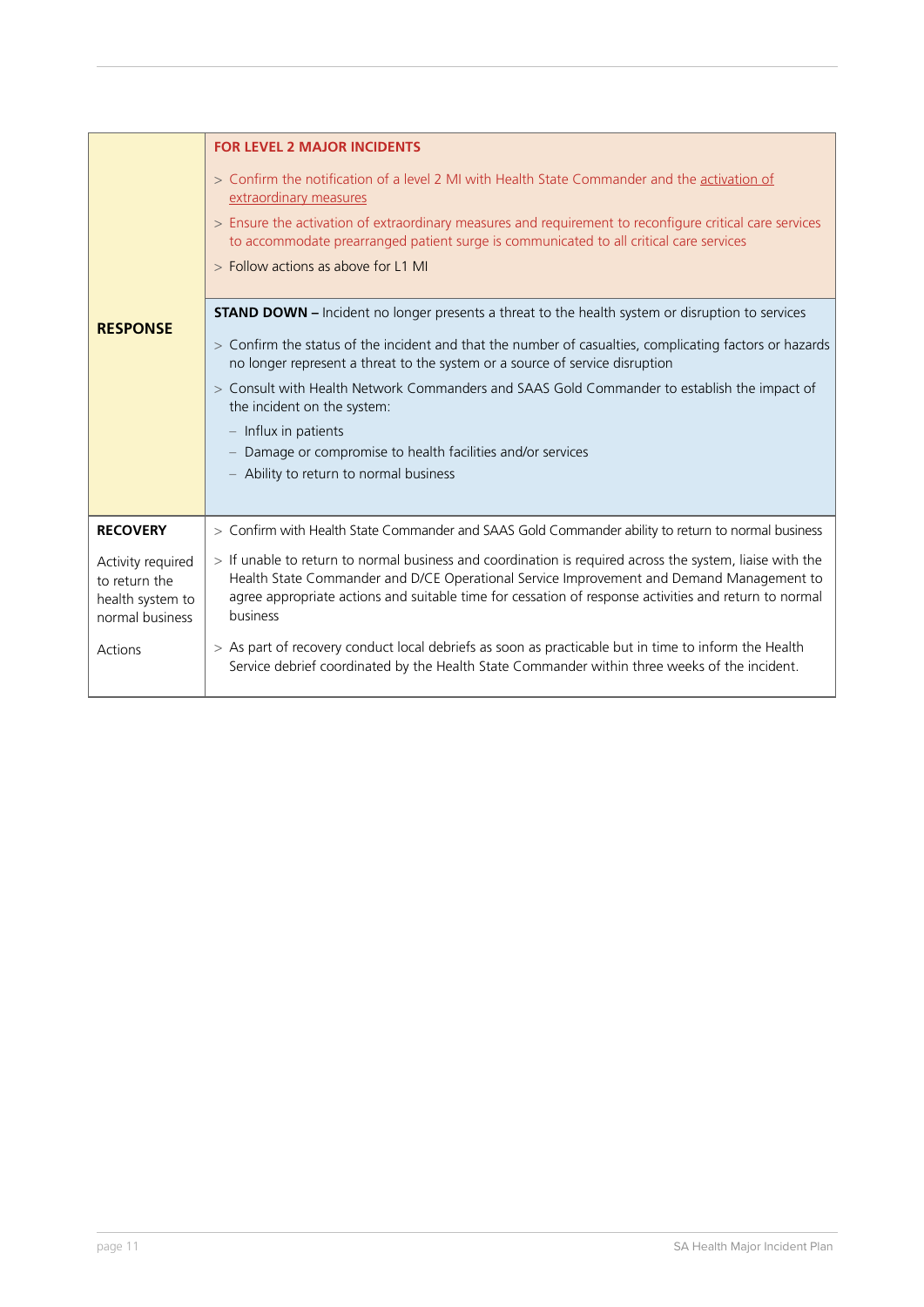| <b>RESPONSE</b>                                                                      | <b>FOR LEVEL 2 MAJOR INCIDENTS</b><br>> Confirm the notification of a level 2 MI with Health State Commander and the activation of<br>extraordinary measures<br>> Ensure the activation of extraordinary measures and requirement to reconfigure critical care services<br>to accommodate prearranged patient surge is communicated to all critical care services<br>> Follow actions as above for L1 MI<br><b>STAND DOWN</b> – Incident no longer presents a threat to the health system or disruption to services<br>> Confirm the status of the incident and that the number of casualties, complicating factors or hazards<br>no longer represent a threat to the system or a source of service disruption<br>> Consult with Health Network Commanders and SAAS Gold Commander to establish the impact of |
|--------------------------------------------------------------------------------------|---------------------------------------------------------------------------------------------------------------------------------------------------------------------------------------------------------------------------------------------------------------------------------------------------------------------------------------------------------------------------------------------------------------------------------------------------------------------------------------------------------------------------------------------------------------------------------------------------------------------------------------------------------------------------------------------------------------------------------------------------------------------------------------------------------------|
|                                                                                      | the incident on the system:<br>$-$ Influx in patients<br>- Damage or compromise to health facilities and/or services<br>- Ability to return to normal business                                                                                                                                                                                                                                                                                                                                                                                                                                                                                                                                                                                                                                                |
| <b>RECOVERY</b>                                                                      | > Confirm with Health State Commander and SAAS Gold Commander ability to return to normal business                                                                                                                                                                                                                                                                                                                                                                                                                                                                                                                                                                                                                                                                                                            |
| Activity required<br>to return the<br>health system to<br>normal business<br>Actions | > If unable to return to normal business and coordination is required across the system, liaise with the<br>Health State Commander and D/CE Operational Service Improvement and Demand Management to<br>agree appropriate actions and suitable time for cessation of response activities and return to normal<br>business<br>> As part of recovery conduct local debriefs as soon as practicable but in time to inform the Health<br>Service debrief coordinated by the Health State Commander within three weeks of the incident.                                                                                                                                                                                                                                                                            |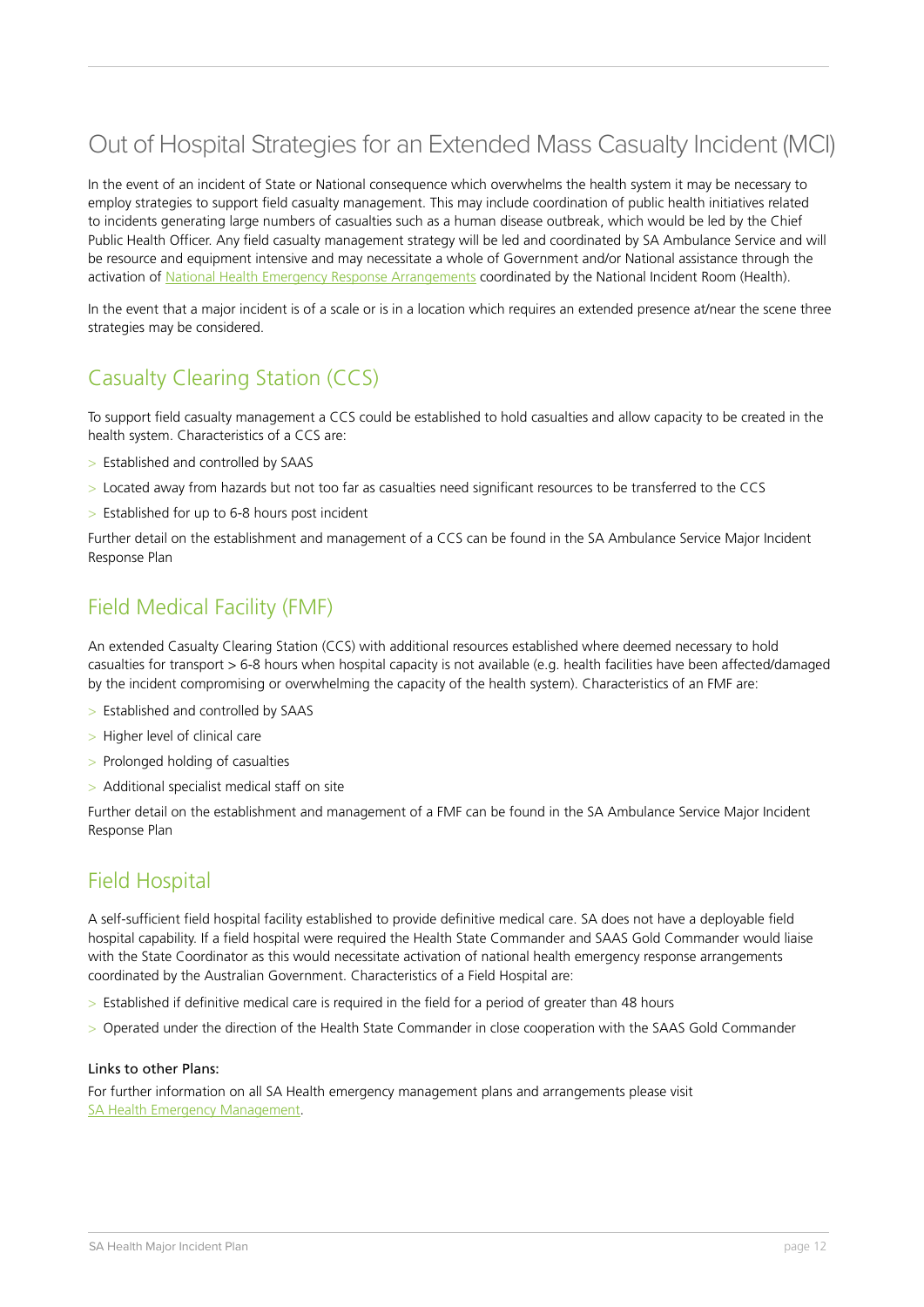## Out of Hospital Strategies for an Extended Mass Casualty Incident (MCI)

In the event of an incident of State or National consequence which overwhelms the health system it may be necessary to employ strategies to support field casualty management. This may include coordination of public health initiatives related to incidents generating large numbers of casualties such as a human disease outbreak, which would be led by the Chief Public Health Officer. Any field casualty management strategy will be led and coordinated by SA Ambulance Service and will be resource and equipment intensive and may necessitate a whole of Government and/or National assistance through the activation of National Health Emergency Response Arrangements coordinated by the National Incident Room (Health).

In the event that a major incident is of a scale or is in a location which requires an extended presence at/near the scene three strategies may be considered.

#### Casualty Clearing Station (CCS)

To support field casualty management a CCS could be established to hold casualties and allow capacity to be created in the health system. Characteristics of a CCS are:

- > Established and controlled by SAAS
- > Located away from hazards but not too far as casualties need significant resources to be transferred to the CCS
- > Established for up to 6-8 hours post incident

Further detail on the establishment and management of a CCS can be found in the SA Ambulance Service Major Incident Response Plan

#### Field Medical Facility (FMF)

An extended Casualty Clearing Station (CCS) with additional resources established where deemed necessary to hold casualties for transport > 6-8 hours when hospital capacity is not available (e.g. health facilities have been affected/damaged by the incident compromising or overwhelming the capacity of the health system). Characteristics of an FMF are:

- > Established and controlled by SAAS
- > Higher level of clinical care
- > Prolonged holding of casualties
- > Additional specialist medical staff on site

Further detail on the establishment and management of a FMF can be found in the SA Ambulance Service Major Incident Response Plan

#### Field Hospital

A self-sufficient field hospital facility established to provide definitive medical care. SA does not have a deployable field hospital capability. If a field hospital were required the Health State Commander and SAAS Gold Commander would liaise with the State Coordinator as this would necessitate activation of national health emergency response arrangements coordinated by the Australian Government. Characteristics of a Field Hospital are:

- > Established if definitive medical care is required in the field for a period of greater than 48 hours
- > Operated under the direction of the Health State Commander in close cooperation with the SAAS Gold Commander

#### Links to other Plans:

For further information on all SA Health emergency management plans and arrangements please visit SA Health Emergency Management.